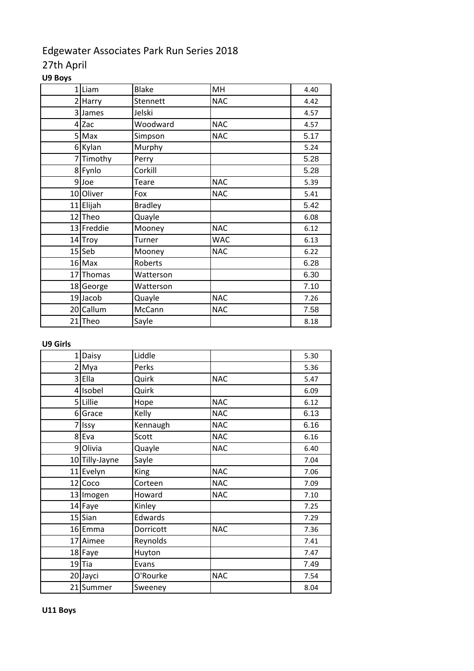# Edgewater Associates Park Run Series 2018

## 27th April

### **U9 Boys**

| 1Liam      | <b>Blake</b>   | MH         | 4.40 |
|------------|----------------|------------|------|
| 2 Harry    | Stennett       | <b>NAC</b> | 4.42 |
| 3 James    | Jelski         |            | 4.57 |
| $4$ Zac    | Woodward       | <b>NAC</b> | 4.57 |
| 5 Max      | Simpson        | <b>NAC</b> | 5.17 |
| 6 Kylan    | Murphy         |            | 5.24 |
| 7 Timothy  | Perry          |            | 5.28 |
| 8 Fynlo    | Corkill        |            | 5.28 |
| $9$ Joe    | Teare          | <b>NAC</b> | 5.39 |
| 10 Oliver  | Fox            | <b>NAC</b> | 5.41 |
| 11 Elijah  | <b>Bradley</b> |            | 5.42 |
| 12 Theo    | Quayle         |            | 6.08 |
| 13 Freddie | Mooney         | <b>NAC</b> | 6.12 |
| 14 Troy    | Turner         | <b>WAC</b> | 6.13 |
| 15 Seb     | Mooney         | <b>NAC</b> | 6.22 |
| 16 Max     | Roberts        |            | 6.28 |
| 17 Thomas  | Watterson      |            | 6.30 |
| 18 George  | Watterson      |            | 7.10 |
| 19 Jacob   | Quayle         | <b>NAC</b> | 7.26 |
| 20 Callum  | McCann         | <b>NAC</b> | 7.58 |
| 21 Theo    | Sayle          |            | 8.18 |

#### **U9 Girls**

| $\mathbf{1}$ | Daisy          | Liddle    |            | 5.30 |
|--------------|----------------|-----------|------------|------|
|              | 2 Mya          | Perks     |            | 5.36 |
|              | 3 Ella         | Quirk     | <b>NAC</b> | 5.47 |
|              | 4 Isobel       | Quirk     |            | 6.09 |
|              | 5 Lillie       | Hope      | <b>NAC</b> | 6.12 |
|              | 6 Grace        | Kelly     | <b>NAC</b> | 6.13 |
| 7            | Issy           | Kennaugh  | <b>NAC</b> | 6.16 |
| 8            | Eva            | Scott     | <b>NAC</b> | 6.16 |
|              | 9 Olivia       | Quayle    | <b>NAC</b> | 6.40 |
|              | 10 Tilly-Jayne | Sayle     |            | 7.04 |
|              | 11 Evelyn      | King      | <b>NAC</b> | 7.06 |
|              | 12 Coco        | Corteen   | <b>NAC</b> | 7.09 |
|              | 13 Imogen      | Howard    | <b>NAC</b> | 7.10 |
|              | 14 Faye        | Kinley    |            | 7.25 |
|              | 15 Sian        | Edwards   |            | 7.29 |
|              | 16 Emma        | Dorricott | <b>NAC</b> | 7.36 |
|              | 17 Aimee       | Reynolds  |            | 7.41 |
|              | 18 Faye        | Huyton    |            | 7.47 |
|              | $19$ Tia       | Evans     |            | 7.49 |
|              | 20 Jayci       | O'Rourke  | <b>NAC</b> | 7.54 |
|              | 21 Summer      | Sweeney   |            | 8.04 |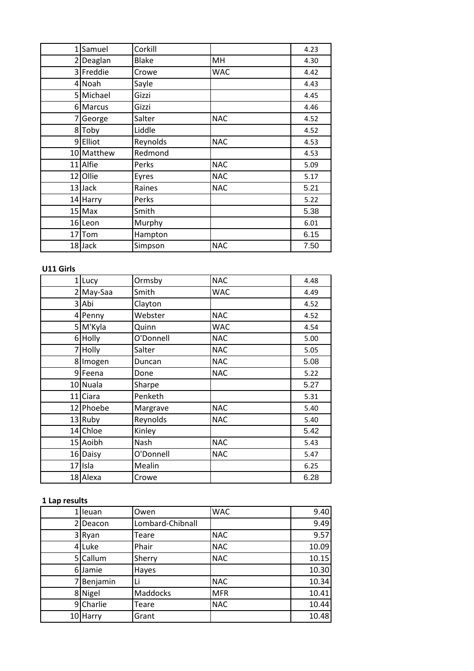| $\mathbf{1}$ | Samuel     | Corkill      |            | 4.23 |
|--------------|------------|--------------|------------|------|
|              | 2 Deaglan  | <b>Blake</b> | MH         | 4.30 |
|              | 3 Freddie  | Crowe        | <b>WAC</b> | 4.42 |
|              | 4 Noah     | Sayle        |            | 4.43 |
|              | 5 Michael  | Gizzi        |            | 4.45 |
|              | 6 Marcus   | Gizzi        |            | 4.46 |
| 7            | George     | Salter       | <b>NAC</b> | 4.52 |
|              | 8Toby      | Liddle       |            | 4.52 |
|              | 9Elliot    | Reynolds     | <b>NAC</b> | 4.53 |
|              | 10 Matthew | Redmond      |            | 4.53 |
|              | 11 Alfie   | Perks        | <b>NAC</b> | 5.09 |
|              | 12 Ollie   | Eyres        | <b>NAC</b> | 5.17 |
|              | 13 Jack    | Raines       | <b>NAC</b> | 5.21 |
|              | 14 Harry   | Perks        |            | 5.22 |
|              | 15 Max     | Smith        |            | 5.38 |
|              | 16 Leon    | Murphy       |            | 6.01 |
|              | 17 Tom     | Hampton      |            | 6.15 |
|              | 18 Jack    | Simpson      | <b>NAC</b> | 7.50 |

### **U11 Girls**

| $1$ Lucy    | Ormsby    | <b>NAC</b> | 4.48 |
|-------------|-----------|------------|------|
| $2$ May-Saa | Smith     | <b>WAC</b> | 4.49 |
| 3 Abi       | Clayton   |            | 4.52 |
| $4$ Penny   | Webster   | <b>NAC</b> | 4.52 |
| 5 M'Kyla    | Quinn     | <b>WAC</b> | 4.54 |
| 6 Holly     | O'Donnell | <b>NAC</b> | 5.00 |
| 7 Holly     | Salter    | <b>NAC</b> | 5.05 |
| 8 Imogen    | Duncan    | <b>NAC</b> | 5.08 |
| 9 Feena     | Done      | <b>NAC</b> | 5.22 |
| 10 Nuala    | Sharpe    |            | 5.27 |
| 11 Ciara    | Penketh   |            | 5.31 |
| 12 Phoebe   | Margrave  | <b>NAC</b> | 5.40 |
| 13 Ruby     | Reynolds  | <b>NAC</b> | 5.40 |
| 14 Chloe    | Kinley    |            | 5.42 |
| 15 Aoibh    | Nash      | <b>NAC</b> | 5.43 |
| 16 Daisy    | O'Donnell | <b>NAC</b> | 5.47 |
| 17 Isla     | Mealin    |            | 6.25 |
| 18 Alexa    | Crowe     |            | 6.28 |

#### **1 Lap results**

| leuan     | Owen             | <b>WAC</b> | 9.40  |
|-----------|------------------|------------|-------|
| Deacon    | Lombard-Chibnall |            | 9.49  |
| 3 Ryan    | Teare            | <b>NAC</b> | 9.57  |
| 4 Luke    | Phair            | <b>NAC</b> | 10.09 |
| 5 Callum  | Sherry           | <b>NAC</b> | 10.15 |
| 6 Jamie   | Hayes            |            | 10.30 |
| Benjamin  | Li               | <b>NAC</b> | 10.34 |
| 8 Nigel   | Maddocks         | <b>MFR</b> | 10.41 |
| 9 Charlie | Teare            | <b>NAC</b> | 10.44 |
| 10 Harry  | Grant            |            | 10.48 |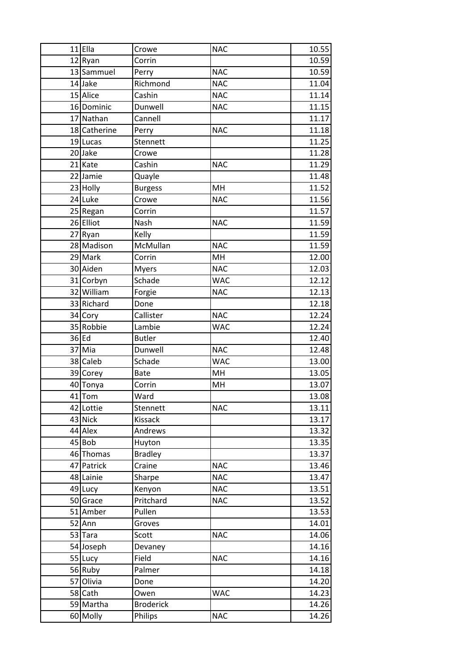| $11$ Ella    | Crowe            | <b>NAC</b> | 10.55 |
|--------------|------------------|------------|-------|
| 12 Ryan      | Corrin           |            | 10.59 |
| 13 Sammuel   | Perry            | <b>NAC</b> | 10.59 |
| 14 Jake      | Richmond         | <b>NAC</b> | 11.04 |
| 15 Alice     | Cashin           | <b>NAC</b> | 11.14 |
| 16 Dominic   | Dunwell          | <b>NAC</b> | 11.15 |
| 17 Nathan    | Cannell          |            | 11.17 |
| 18 Catherine | Perry            | <b>NAC</b> | 11.18 |
| 19 Lucas     | Stennett         |            | 11.25 |
| 20Jake       | Crowe            |            | 11.28 |
| 21 Kate      | Cashin           | <b>NAC</b> | 11.29 |
| 22 Jamie     | Quayle           |            | 11.48 |
| 23 Holly     | <b>Burgess</b>   | MH         | 11.52 |
| 24 Luke      | Crowe            | <b>NAC</b> | 11.56 |
| 25 Regan     | Corrin           |            | 11.57 |
| 26 Elliot    | Nash             | <b>NAC</b> | 11.59 |
| 27 Ryan      | Kelly            |            | 11.59 |
| 28 Madison   | McMullan         | <b>NAC</b> | 11.59 |
| 29 Mark      | Corrin           | MH         | 12.00 |
| 30 Aiden     | <b>Myers</b>     | <b>NAC</b> | 12.03 |
| 31 Corbyn    | Schade           | <b>WAC</b> | 12.12 |
| 32 William   | Forgie           | <b>NAC</b> | 12.13 |
| 33 Richard   | Done             |            | 12.18 |
| 34 Cory      | Callister        | <b>NAC</b> | 12.24 |
| 35 Robbie    | Lambie           | <b>WAC</b> | 12.24 |
| 36 Ed        | <b>Butler</b>    |            | 12.40 |
| 37 Mia       | Dunwell          | <b>NAC</b> | 12.48 |
| 38 Caleb     | Schade           | <b>WAC</b> | 13.00 |
| 39 Corey     | <b>Bate</b>      | MH         | 13.05 |
| 40 Tonya     | Corrin           | MH         | 13.07 |
| 41 Tom       | Ward             |            | 13.08 |
| 42 Lottie    | Stennett         | <b>NAC</b> | 13.11 |
| 43 Nick      | Kissack          |            | 13.17 |
| 44 Alex      | Andrews          |            | 13.32 |
| 45 Bob       | Huyton           |            | 13.35 |
| 46 Thomas    | <b>Bradley</b>   |            | 13.37 |
| 47 Patrick   | Craine           | <b>NAC</b> | 13.46 |
| 48 Lainie    | Sharpe           | <b>NAC</b> | 13.47 |
| 49 Lucy      | Kenyon           | <b>NAC</b> | 13.51 |
| 50 Grace     | Pritchard        | <b>NAC</b> | 13.52 |
| 51 Amber     | Pullen           |            | 13.53 |
| 52 Ann       | Groves           |            | 14.01 |
| 53 Tara      | Scott            | <b>NAC</b> | 14.06 |
| 54 Joseph    | Devaney          |            | 14.16 |
| 55 Lucy      | Field            | <b>NAC</b> | 14.16 |
| 56 Ruby      | Palmer           |            | 14.18 |
| 57 Olivia    | Done             |            | 14.20 |
| 58 Cath      | Owen             | <b>WAC</b> | 14.23 |
|              |                  |            |       |
| 59 Martha    | <b>Broderick</b> |            | 14.26 |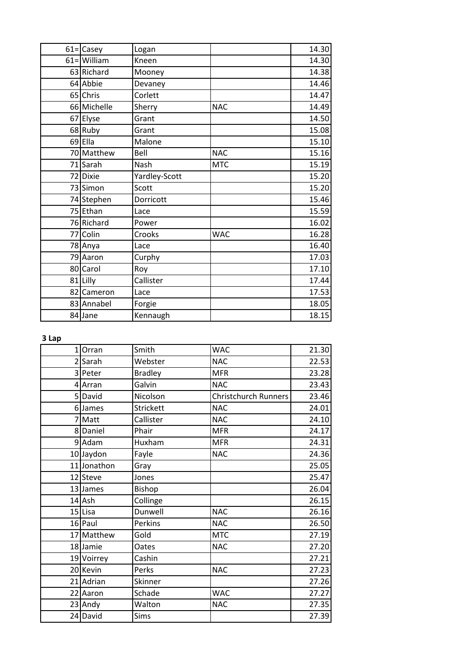| $61 =$ Casey   | Logan         |            | 14.30 |
|----------------|---------------|------------|-------|
| $61 =$ William | Kneen         |            | 14.30 |
| 63 Richard     | Mooney        |            | 14.38 |
| 64 Abbie       | Devaney       |            | 14.46 |
| 65 Chris       | Corlett       |            | 14.47 |
| 66 Michelle    | Sherry        | <b>NAC</b> | 14.49 |
| 67 Elyse       | Grant         |            | 14.50 |
| 68 Ruby        | Grant         |            | 15.08 |
| 69 Ella        | Malone        |            | 15.10 |
| 70 Matthew     | Bell          | <b>NAC</b> | 15.16 |
| 71 Sarah       | Nash          | <b>MTC</b> | 15.19 |
| 72 Dixie       | Yardley-Scott |            | 15.20 |
| 73 Simon       | Scott         |            | 15.20 |
| 74 Stephen     | Dorricott     |            | 15.46 |
| 75 Ethan       | Lace          |            | 15.59 |
| 76 Richard     | Power         |            | 16.02 |
| 77 Colin       | Crooks        | <b>WAC</b> | 16.28 |
| 78 Anya        | Lace          |            | 16.40 |
| 79 Aaron       | Curphy        |            | 17.03 |
| 80 Carol       | Roy           |            | 17.10 |
| 81 Lilly       | Callister     |            | 17.44 |
| 82 Cameron     | Lace          |            | 17.53 |
| 83 Annabel     | Forgie        |            | 18.05 |
| 84 Jane        | Kennaugh      |            | 18.15 |

**3 Lap**

| 1 Orran     | Smith          | <b>WAC</b>           | 21.30 |
|-------------|----------------|----------------------|-------|
| 2 Sarah     | Webster        | <b>NAC</b>           | 22.53 |
| 3 Peter     | <b>Bradley</b> | <b>MFR</b>           | 23.28 |
| 4 Arran     | Galvin         | <b>NAC</b>           | 23.43 |
| 5 David     | Nicolson       | Christchurch Runners | 23.46 |
| 6 James     | Strickett      | <b>NAC</b>           | 24.01 |
| 7 Matt      | Callister      | <b>NAC</b>           | 24.10 |
| 8 Daniel    | Phair          | <b>MFR</b>           | 24.17 |
| 9 Adam      | Huxham         | <b>MFR</b>           | 24.31 |
| 10 Jaydon   | Fayle          | <b>NAC</b>           | 24.36 |
| 11 Jonathon | Gray           |                      | 25.05 |
| 12 Steve    | Jones          |                      | 25.47 |
| 13 James    | Bishop         |                      | 26.04 |
| 14 Ash      | Collinge       |                      | 26.15 |
| $15$ Lisa   | Dunwell        | <b>NAC</b>           | 26.16 |
| 16 Paul     | Perkins        | <b>NAC</b>           | 26.50 |
| 17 Matthew  | Gold           | <b>MTC</b>           | 27.19 |
| 18 Jamie    | Oates          | <b>NAC</b>           | 27.20 |
| 19 Voirrey  | Cashin         |                      | 27.21 |
| 20 Kevin    | Perks          | <b>NAC</b>           | 27.23 |
| 21 Adrian   | Skinner        |                      | 27.26 |
| 22 Aaron    | Schade         | <b>WAC</b>           | 27.27 |
| 23 Andy     | Walton         | <b>NAC</b>           | 27.35 |
| 24 David    | Sims           |                      | 27.39 |
|             |                |                      |       |